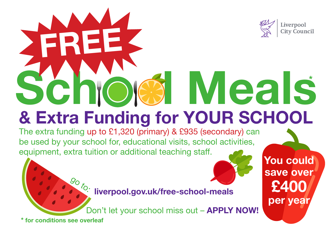

per year

## & Extra Funding for YOUR SCHOOL Schick Meals **Meals**

The extra funding up to £1,320 (primary) & £935 (secondary) can be used by your school for, educational visits, school activities, equipment, extra tuition or additional teaching staff.

liverpool.gov.uk/free-school-meals

Don't let your school miss out - **APPLY NOW!** 

\* for conditions see overleaf

 $\mathcal{G}_O$ 

FREE